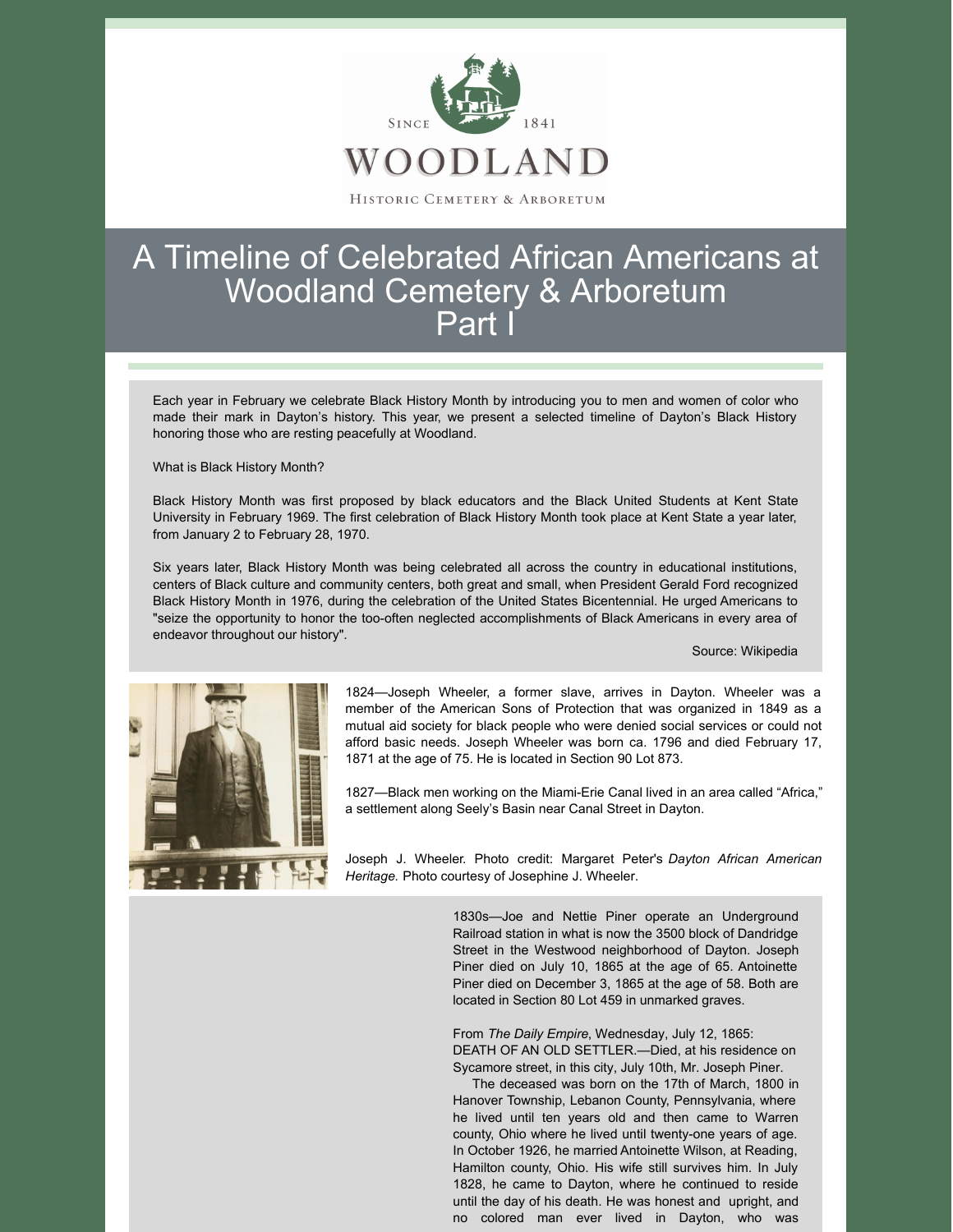

## A Timeline of Celebrated African Americans at Woodland Cemetery & Arboretum Part I

Each year in February we celebrate Black History Month by introducing you to men and women of color who made their mark in Dayton's history. This year, we present a selected timeline of Dayton's Black History honoring those who are resting peacefully at Woodland.

What is Black History Month?

Black History Month was first proposed by black educators and the Black United Students at Kent State University in February 1969. The first celebration of Black History Month took place at Kent State a year later, from January 2 to February 28, 1970.

Six years later, Black History Month was being celebrated all across the country in educational institutions, centers of Black culture and community centers, both great and small, when President Gerald Ford recognized Black History Month in 1976, during the celebration of the United States Bicentennial. He urged Americans to "seize the opportunity to honor the too-often neglected accomplishments of Black Americans in every area of endeavor throughout our history".

Source: Wikipedia



1824—Joseph Wheeler, a former slave, arrives in Dayton. Wheeler was a member of the American Sons of Protection that was organized in 1849 as a mutual aid society for black people who were denied social services or could not afford basic needs. Joseph Wheeler was born ca. 1796 and died February 17, 1871 at the age of 75. He is located in Section 90 Lot 873.

1827—Black men working on the Miami-Erie Canal lived in an area called "Africa," a settlement along Seely's Basin near Canal Street in Dayton.

Joseph J. Wheeler. Photo credit: Margaret Peter's *Dayton African American Heritage.* Photo courtesy of Josephine J. Wheeler.

> 1830s—Joe and Nettie Piner operate an Underground Railroad station in what is now the 3500 block of Dandridge Street in the Westwood neighborhood of Dayton. Joseph Piner died on July 10, 1865 at the age of 65. Antoinette Piner died on December 3, 1865 at the age of 58. Both are located in Section 80 Lot 459 in unmarked graves.

> From *The Daily Empire*, Wednesday, July 12, 1865: DEATH OF AN OLD SETTLER.—Died, at his residence on Sycamore street, in this city, July 10th, Mr. Joseph Piner.

> The deceased was born on the 17th of March, 1800 in Hanover Township, Lebanon County, Pennsylvania, where he lived until ten years old and then came to Warren county, Ohio where he lived until twenty-one years of age. In October 1926, he married Antoinette Wilson, at Reading, Hamilton county, Ohio. His wife still survives him. In July 1828, he came to Dayton, where he continued to reside until the day of his death. He was honest and upright, and no colored man ever lived in Dayton, who was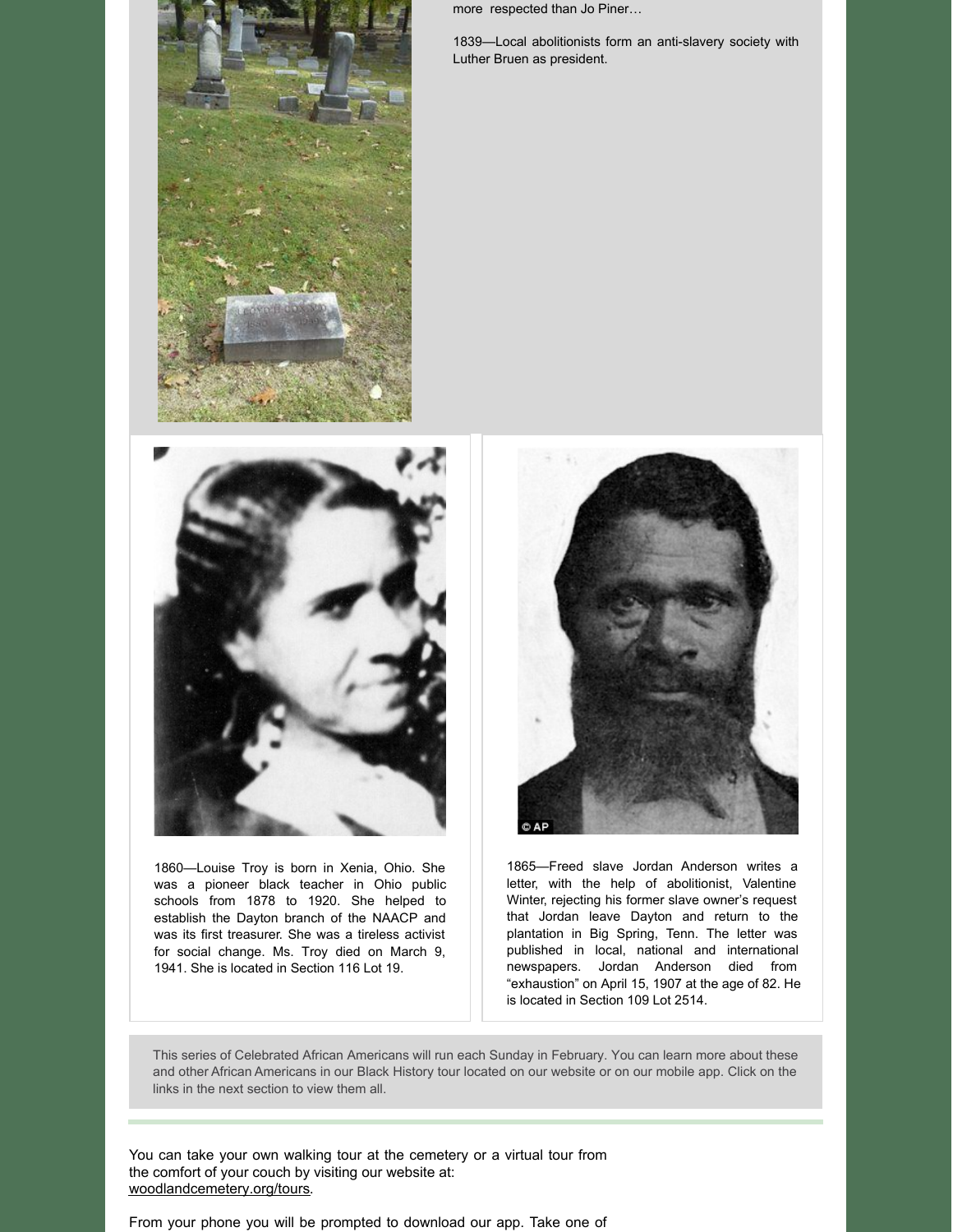

more respected than Jo Piner…

1839—Local abolitionists form an anti-slavery society with Luther Bruen as president.



1860—Louise Troy is born in Xenia, Ohio. She was a pioneer black teacher in Ohio public schools from 1878 to 1920. She helped to establish the Dayton branch of the NAACP and was its first treasurer. She was a tireless activist for social change. Ms. Troy died on March 9, 1941. She is located in Section 116 Lot 19.



1865—Freed slave Jordan Anderson writes a letter, with the help of abolitionist, Valentine Winter, rejecting his former slave owner's request that Jordan leave Dayton and return to the plantation in Big Spring, Tenn. The letter was published in local, national and international newspapers. Jordan Anderson died from "exhaustion" on April 15, 1907 at the age of 82. He is located in Section 109 Lot 2514.

This series of Celebrated African Americans will run each Sunday in February. You can learn more about these and other African Americans in our Black History tour located on our website or on our mobile app. Click on the links in the next section to view them all.

You can take your own walking tour at the cemetery or a virtual tour from the comfort of your couch by visiting our website at: [woodlandcemetery.org/tours](https://woodlandcemetery.org/tours/).

From your phone you will be prompted to download our app. Take one of